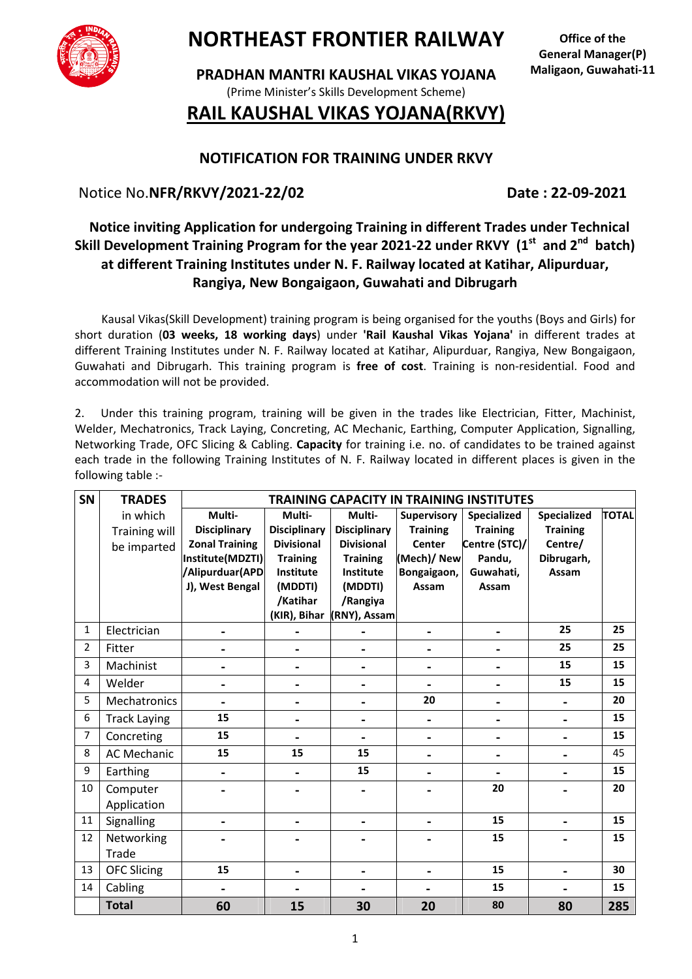

## **NORTHEAST FRONTIER RAILWAY**

**PRADHAN MANTRI KAUSHAL VIKAS YOJANA**  (Prime Minister's Skills Development Scheme)

#### **Office of the General Manager(P) Maligaon, Guwahati-11**

## **RAIL KAUSHAL VIKAS YOJANA(RKVY)**

### **NOTIFICATION FOR TRAINING UNDER RKVY**

Notice No.**NFR/RKVY/2021-22/02** Date: 22-09-2021

## **Notice inviting Application for undergoing Training in different Trades under Technical Skill Development Training Program for the year 2021-22 under RKVY (1st and 2nd batch) at different Training Institutes under N. F. Railway located at Katihar, Alipurduar, Rangiya, New Bongaigaon, Guwahati and Dibrugarh**

 Kausal Vikas(Skill Development) training program is being organised for the youths (Boys and Girls) for short duration (**03 weeks, 18 working days**) under **'Rail Kaushal Vikas Yojana'** in different trades at different Training Institutes under N. F. Railway located at Katihar, Alipurduar, Rangiya, New Bongaigaon, Guwahati and Dibrugarh. This training program is **free of cost**. Training is non-residential. Food and accommodation will not be provided.

2. Under this training program, training will be given in the trades like Electrician, Fitter, Machinist, Welder, Mechatronics, Track Laying, Concreting, AC Mechanic, Earthing, Computer Application, Signalling, Networking Trade, OFC Slicing & Cabling. **Capacity** for training i.e. no. of candidates to be trained against each trade in the following Training Institutes of N. F. Railway located in different places is given in the following table :-

| SN             | <b>TRADES</b>           | <b>TRAINING CAPACITY IN TRAINING INSTITUTES</b> |                     |                     |                 |                 |                    |              |
|----------------|-------------------------|-------------------------------------------------|---------------------|---------------------|-----------------|-----------------|--------------------|--------------|
|                | in which                | Multi-                                          | Multi-              | Multi-              | Supervisory     | Specialized     | <b>Specialized</b> | <b>TOTAL</b> |
|                | <b>Training will</b>    | <b>Disciplinary</b>                             | <b>Disciplinary</b> | <b>Disciplinary</b> | <b>Training</b> | <b>Training</b> | <b>Training</b>    |              |
|                | be imparted             | <b>Zonal Training</b>                           | <b>Divisional</b>   | <b>Divisional</b>   | Center          | Centre (STC)/   | Centre/            |              |
|                |                         | Institute(MDZTI)                                | <b>Training</b>     | <b>Training</b>     | (Mech)/ New     | Pandu,          | Dibrugarh,         |              |
|                |                         | Alipurduar (APD                                 | Institute           | Institute           | Bongaigaon,     | Guwahati,       | Assam              |              |
|                |                         | J), West Bengal                                 | (MDDTI)             | (MDDTI)             | Assam           | Assam           |                    |              |
|                |                         |                                                 | /Katihar            | /Rangiya            |                 |                 |                    |              |
|                |                         |                                                 | (KIR), Bihar        | (RNY), Assam        |                 |                 |                    |              |
| $\mathbf{1}$   | Electrician             |                                                 |                     |                     |                 |                 | 25                 | 25           |
| $\overline{2}$ | Fitter                  |                                                 |                     | $\blacksquare$      |                 |                 | 25                 | 25           |
| 3              | Machinist               |                                                 |                     | $\blacksquare$      |                 |                 | 15                 | 15           |
| $\overline{4}$ | Welder                  |                                                 |                     | $\blacksquare$      | $\blacksquare$  | $\blacksquare$  | 15                 | 15           |
| 5              | Mechatronics            |                                                 |                     | $\blacksquare$      | 20              | $\blacksquare$  | $\blacksquare$     | 20           |
| 6              | <b>Track Laying</b>     | 15                                              |                     | $\blacksquare$      | $\blacksquare$  | $\blacksquare$  | $\blacksquare$     | 15           |
| $\overline{7}$ | Concreting              | 15                                              |                     | $\blacksquare$      | $\blacksquare$  | $\blacksquare$  | $\blacksquare$     | 15           |
| 8              | <b>AC Mechanic</b>      | 15                                              | 15                  | 15                  |                 | $\blacksquare$  |                    | 45           |
| 9              | Earthing                |                                                 |                     | 15                  |                 |                 |                    | 15           |
| 10             | Computer<br>Application |                                                 |                     |                     |                 | 20              |                    | 20           |
| 11             | Signalling              |                                                 |                     | $\blacksquare$      | -               | 15              | -                  | 15           |
| 12             | Networking              |                                                 |                     |                     |                 | 15              |                    | 15           |
|                | Trade                   |                                                 |                     |                     |                 |                 |                    |              |
| 13             | <b>OFC Slicing</b>      | 15                                              |                     | $\blacksquare$      |                 | 15              |                    | 30           |
| 14             | Cabling                 |                                                 |                     | $\blacksquare$      |                 | 15              | $\blacksquare$     | 15           |
|                | <b>Total</b>            | 60                                              | 15                  | 30                  | 20              | 80              | 80                 | 285          |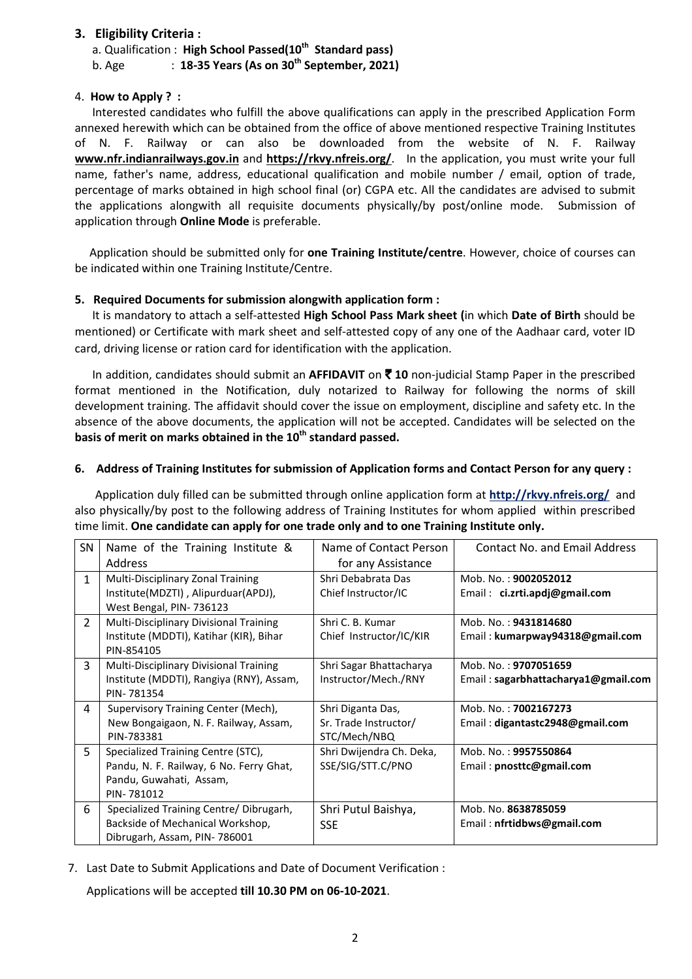#### **3. Eligibility Criteria :**

a. Qualification : **High School Passed(10th Standard pass)** 

b. Age : **18-35 Years (As on 30th September, 2021)** 

#### 4. **How to Apply ? :**

 Interested candidates who fulfill the above qualifications can apply in the prescribed Application Form annexed herewith which can be obtained from the office of above mentioned respective Training Institutes of N. F. Railway or can also be downloaded from the website of N. F. Railway **www.nfr.indianrailways.gov.in** and **https://rkvy.nfreis.org/**. In the application, you must write your full name, father's name, address, educational qualification and mobile number / email, option of trade, percentage of marks obtained in high school final (or) CGPA etc. All the candidates are advised to submit the applications alongwith all requisite documents physically/by post/online mode. Submission of application through **Online Mode** is preferable.

 Application should be submitted only for **one Training Institute/centre**. However, choice of courses can be indicated within one Training Institute/Centre.

#### **5. Required Documents for submission alongwith application form :**

 It is mandatory to attach a self-attested **High School Pass Mark sheet (**in which **Date of Birth** should be mentioned) or Certificate with mark sheet and self-attested copy of any one of the Aadhaar card, voter ID card, driving license or ration card for identification with the application.

 In addition, candidates should submit an **AFFIDAVIT** on ` **10** non-judicial Stamp Paper in the prescribed format mentioned in the Notification, duly notarized to Railway for following the norms of skill development training. The affidavit should cover the issue on employment, discipline and safety etc. In the absence of the above documents, the application will not be accepted. Candidates will be selected on the **basis of merit on marks obtained in the 10th standard passed.** 

#### **6. Address of Training Institutes for submission of Application forms and Contact Person for any query :**

 Application duly filled can be submitted through online application form at **http://rkvy.nfreis.org/** and also physically/by post to the following address of Training Institutes for whom applied within prescribed time limit. **One candidate can apply for one trade only and to one Training Institute only.**

| SN             | Name of the Training Institute &         | Name of Contact Person   | <b>Contact No. and Email Address</b> |  |
|----------------|------------------------------------------|--------------------------|--------------------------------------|--|
|                | Address                                  | for any Assistance       |                                      |  |
| $\mathbf{1}$   | Multi-Disciplinary Zonal Training        | Shri Debabrata Das       | Mob. No.: 9002052012                 |  |
|                | Institute(MDZTI), Alipurduar(APDJ),      | Chief Instructor/IC      | Email: ci.zrti.apdj@gmail.com        |  |
|                | West Bengal, PIN-736123                  |                          |                                      |  |
| $\overline{2}$ | Multi-Disciplinary Divisional Training   | Shri C. B. Kumar         | Mob. No.: 9431814680                 |  |
|                | Institute (MDDTI), Katihar (KIR), Bihar  | Chief Instructor/IC/KIR  | Email: kumarpway94318@gmail.com      |  |
|                | PIN-854105                               |                          |                                      |  |
| $\overline{3}$ | Multi-Disciplinary Divisional Training   | Shri Sagar Bhattacharya  | Mob. No.: 9707051659                 |  |
|                | Institute (MDDTI), Rangiya (RNY), Assam, | Instructor/Mech./RNY     | Email: sagarbhattacharya1@gmail.com  |  |
|                | PIN-781354                               |                          |                                      |  |
| 4              | Supervisory Training Center (Mech),      | Shri Diganta Das,        | Mob. No.: 7002167273                 |  |
|                | New Bongaigaon, N. F. Railway, Assam,    | Sr. Trade Instructor/    | Email: digantastc2948@gmail.com      |  |
|                | PIN-783381                               | STC/Mech/NBQ             |                                      |  |
| 5              | Specialized Training Centre (STC),       | Shri Dwijendra Ch. Deka, | Mob. No.: 9957550864                 |  |
|                | Pandu, N. F. Railway, 6 No. Ferry Ghat,  | SSE/SIG/STT.C/PNO        | Email: pnosttc@gmail.com             |  |
|                | Pandu, Guwahati, Assam,                  |                          |                                      |  |
|                | PIN-781012                               |                          |                                      |  |
| 6              | Specialized Training Centre/Dibrugarh,   | Shri Putul Baishya,      | Mob. No. 8638785059                  |  |
|                | Backside of Mechanical Workshop,         | <b>SSE</b>               | Email: nfrtidbws@gmail.com           |  |
|                | Dibrugarh, Assam, PIN-786001             |                          |                                      |  |

7. Last Date to Submit Applications and Date of Document Verification :

Applications will be accepted **till 10.30 PM on 06-10-2021**.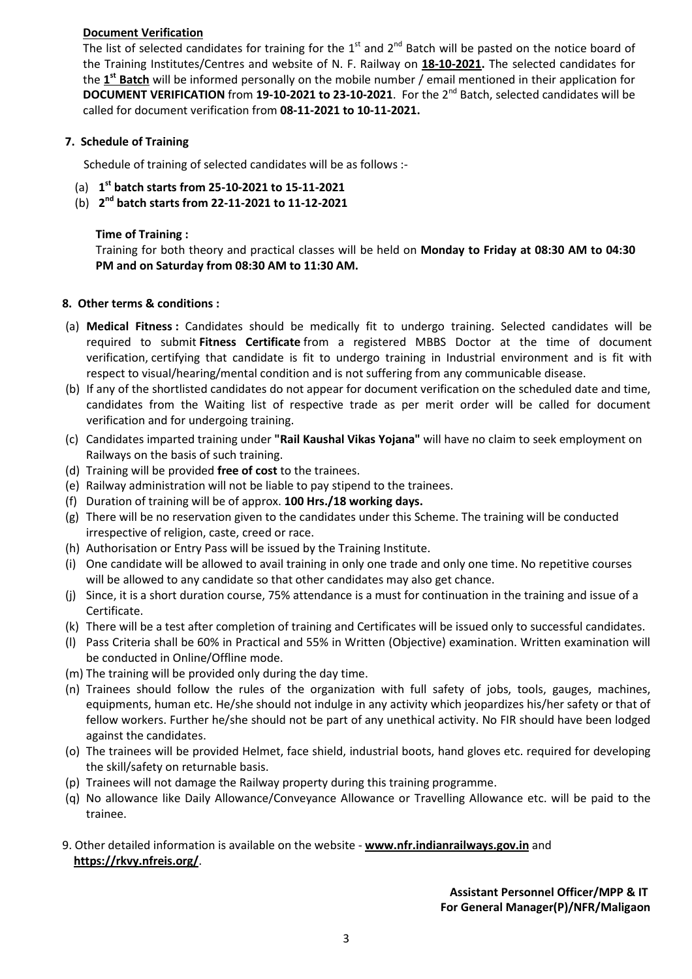#### **Document Verification**

The list of selected candidates for training for the  $1<sup>st</sup>$  and  $2<sup>nd</sup>$  Batch will be pasted on the notice board of the Training Institutes/Centres and website of N. F. Railway on **18-10-2021.** The selected candidates for the **1 st Batch** will be informed personally on the mobile number / email mentioned in their application for **DOCUMENT VERIFICATION** from 19-10-2021 to 23-10-2021. For the 2<sup>nd</sup> Batch, selected candidates will be called for document verification from **08-11-2021 to 10-11-2021.** 

#### **7. Schedule of Training**

Schedule of training of selected candidates will be as follows :-

- (a) **1 st batch starts from 25-10-2021 to 15-11-2021**
- (b) **2nd batch starts from 22-11-2021 to 11-12-2021**

#### **Time of Training :**

Training for both theory and practical classes will be held on **Monday to Friday at 08:30 AM to 04:30 PM and on Saturday from 08:30 AM to 11:30 AM.** 

#### **8. Other terms & conditions :**

- (a) **Medical Fitness :** Candidates should be medically fit to undergo training. Selected candidates will be required to submit **Fitness Certificate** from a registered MBBS Doctor at the time of document verification, certifying that candidate is fit to undergo training in Industrial environment and is fit with respect to visual/hearing/mental condition and is not suffering from any communicable disease.
- (b) If any of the shortlisted candidates do not appear for document verification on the scheduled date and time, candidates from the Waiting list of respective trade as per merit order will be called for document verification and for undergoing training.
- (c) Candidates imparted training under **"Rail Kaushal Vikas Yojana"** will have no claim to seek employment on Railways on the basis of such training.
- (d) Training will be provided **free of cost** to the trainees.
- (e) Railway administration will not be liable to pay stipend to the trainees.
- (f) Duration of training will be of approx. **100 Hrs./18 working days.**
- (g) There will be no reservation given to the candidates under this Scheme. The training will be conducted irrespective of religion, caste, creed or race.
- (h) Authorisation or Entry Pass will be issued by the Training Institute.
- (i) One candidate will be allowed to avail training in only one trade and only one time. No repetitive courses will be allowed to any candidate so that other candidates may also get chance.
- (j) Since, it is a short duration course, 75% attendance is a must for continuation in the training and issue of a Certificate.
- (k) There will be a test after completion of training and Certificates will be issued only to successful candidates.
- (l) Pass Criteria shall be 60% in Practical and 55% in Written (Objective) examination. Written examination will be conducted in Online/Offline mode.
- (m) The training will be provided only during the day time.
- (n) Trainees should follow the rules of the organization with full safety of jobs, tools, gauges, machines, equipments, human etc. He/she should not indulge in any activity which jeopardizes his/her safety or that of fellow workers. Further he/she should not be part of any unethical activity. No FIR should have been lodged against the candidates.
- (o) The trainees will be provided Helmet, face shield, industrial boots, hand gloves etc. required for developing the skill/safety on returnable basis.
- (p) Trainees will not damage the Railway property during this training programme.
- (q) No allowance like Daily Allowance/Conveyance Allowance or Travelling Allowance etc. will be paid to the trainee.
- 9. Other detailed information is available on the website **www.nfr.indianrailways.gov.in** and **https://rkvy.nfreis.org/**.

#### **Assistant Personnel Officer/MPP & IT For General Manager(P)/NFR/Maligaon**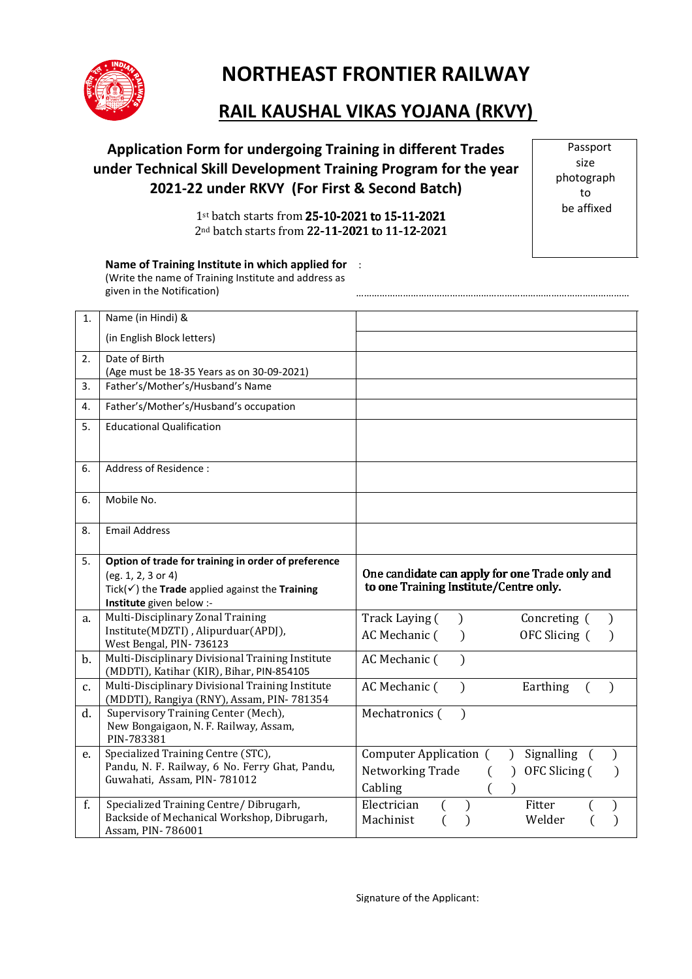

# **NORTHEAST FRONTIER RAILWAY**

#### **RAIL KAUSHAL VIKAS YOJANA (RKVY)**  ֺ֝֡

## **Application Form for undergoing Training in different Trades under Technical Skill Development Training Program for the year 2021-22 under RKVY (For First & Second Batch)**

Passport size photograph to be affixed

……………………………………………………………………………………………

1st batch starts from 25-10-2021 to 15-11-2021 2nd batch starts from 22-11-2021 to 11-12-2021

**Name of Training Institute in which applied for** : (Write the name of Training Institute and address as given in the Notification)

| 1. | Name (in Hindi) &                                                                             |                                                              |
|----|-----------------------------------------------------------------------------------------------|--------------------------------------------------------------|
|    | (in English Block letters)                                                                    |                                                              |
| 2. | Date of Birth                                                                                 |                                                              |
|    | (Age must be 18-35 Years as on 30-09-2021)                                                    |                                                              |
| 3. | Father's/Mother's/Husband's Name                                                              |                                                              |
| 4. | Father's/Mother's/Husband's occupation                                                        |                                                              |
| 5. | <b>Educational Qualification</b>                                                              |                                                              |
| 6. | Address of Residence:                                                                         |                                                              |
| 6. | Mobile No.                                                                                    |                                                              |
| 8. | <b>Email Address</b>                                                                          |                                                              |
| 5. | Option of trade for training in order of preference                                           |                                                              |
|    | (eg. 1, 2, 3 or 4)                                                                            | One candidate can apply for one Trade only and               |
|    | Tick( $\checkmark$ ) the Trade applied against the Training                                   | to one Training Institute/Centre only.                       |
|    | Institute given below :-                                                                      |                                                              |
| a. | Multi-Disciplinary Zonal Training                                                             | Track Laying (<br>Concreting (<br>$\mathcal{E}$              |
|    | Institute(MDZTI), Alipurduar(APDJ),                                                           | AC Mechanic (<br>OFC Slicing (<br>$\lambda$                  |
|    | West Bengal, PIN-736123                                                                       |                                                              |
| b. | Multi-Disciplinary Divisional Training Institute<br>(MDDTI), Katihar (KIR), Bihar, PIN-854105 | AC Mechanic (                                                |
| c. | Multi-Disciplinary Divisional Training Institute<br>(MDDTI), Rangiya (RNY), Assam, PIN-781354 | AC Mechanic (<br>Earthing<br>$\mathcal{E}$<br>$\lambda$<br>€ |
| d. | Supervisory Training Center (Mech),                                                           | Mechatronics (<br>$\lambda$                                  |
|    | New Bongaigaon, N. F. Railway, Assam,                                                         |                                                              |
|    | PIN-783381                                                                                    |                                                              |
| e. | Specialized Training Centre (STC),                                                            | Signalling<br>Computer Application (                         |
|    | Pandu, N. F. Railway, 6 No. Ferry Ghat, Pandu,                                                | Networking Trade<br>OFC Slicing (<br>$\lambda$               |
|    | Guwahati, Assam, PIN-781012                                                                   | Cabling                                                      |
| f. | Specialized Training Centre/ Dibrugarh,                                                       | Electrician<br>Fitter                                        |
|    |                                                                                               |                                                              |
|    | Backside of Mechanical Workshop, Dibrugarh,<br>Assam, PIN-786001                              | Machinist<br>Welder                                          |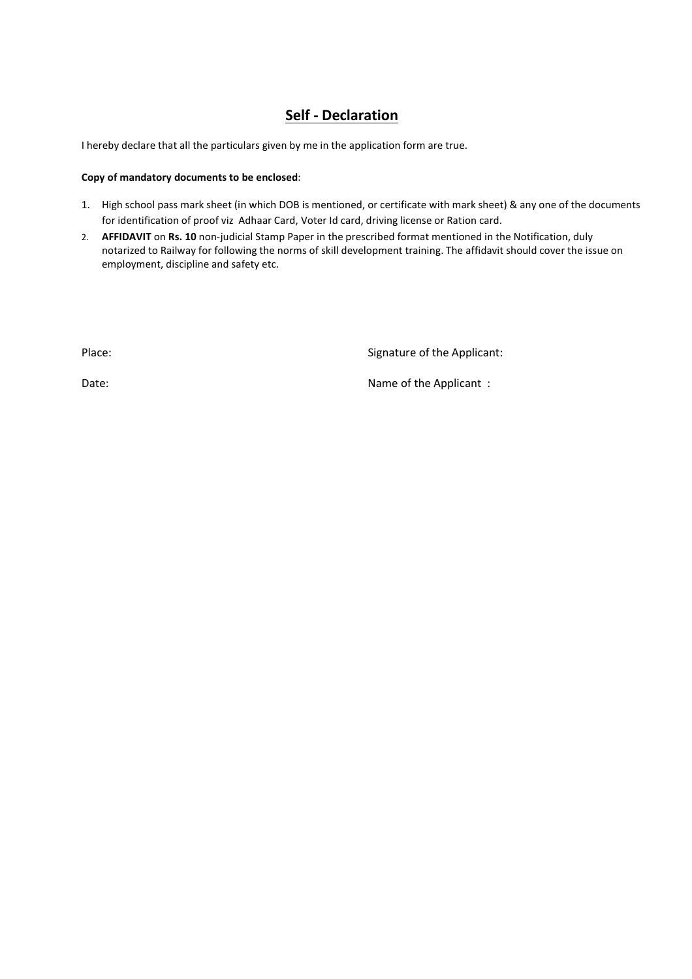### **Self - Declaration**

I hereby declare that all the particulars given by me in the application form are true.

#### **Copy of mandatory documents to be enclosed**:

- 1. High school pass mark sheet (in which DOB is mentioned, or certificate with mark sheet) & any one of the documents for identification of proof viz Adhaar Card, Voter Id card, driving license or Ration card.
- 2. **AFFIDAVIT** on **Rs. 10** non-judicial Stamp Paper in the prescribed format mentioned in the Notification, duly notarized to Railway for following the norms of skill development training. The affidavit should cover the issue on employment, discipline and safety etc.

Place: Signature of the Applicant:

Date:  $\blacksquare$  Date:  $\blacksquare$